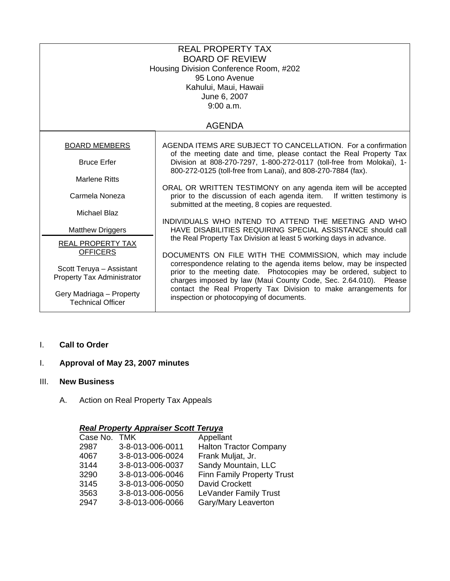| <b>REAL PROPERTY TAX</b><br><b>BOARD OF REVIEW</b><br>Housing Division Conference Room, #202<br>95 Lono Avenue<br>Kahului, Maui, Hawaii<br>June 6, 2007<br>9:00 a.m. |                                                                                                                                                                                                              |  |  |  |
|----------------------------------------------------------------------------------------------------------------------------------------------------------------------|--------------------------------------------------------------------------------------------------------------------------------------------------------------------------------------------------------------|--|--|--|
| <b>AGENDA</b>                                                                                                                                                        |                                                                                                                                                                                                              |  |  |  |
| <b>BOARD MEMBERS</b>                                                                                                                                                 | AGENDA ITEMS ARE SUBJECT TO CANCELLATION. For a confirmation<br>of the meeting date and time, please contact the Real Property Tax                                                                           |  |  |  |
| <b>Bruce Erfer</b>                                                                                                                                                   | Division at 808-270-7297, 1-800-272-0117 (toll-free from Molokai), 1-<br>800-272-0125 (toll-free from Lanai), and 808-270-7884 (fax).                                                                        |  |  |  |
| <b>Marlene Ritts</b>                                                                                                                                                 | ORAL OR WRITTEN TESTIMONY on any agenda item will be accepted                                                                                                                                                |  |  |  |
| Carmela Noneza                                                                                                                                                       | prior to the discussion of each agenda item. If written testimony is<br>submitted at the meeting, 8 copies are requested.                                                                                    |  |  |  |
| <b>Michael Blaz</b>                                                                                                                                                  | INDIVIDUALS WHO INTEND TO ATTEND THE MEETING AND WHO                                                                                                                                                         |  |  |  |
| <b>Matthew Driggers</b>                                                                                                                                              | HAVE DISABILITIES REQUIRING SPECIAL ASSISTANCE should call                                                                                                                                                   |  |  |  |
| REAL PROPERTY TAX<br><b>OFFICERS</b>                                                                                                                                 | the Real Property Tax Division at least 5 working days in advance.<br>DOCUMENTS ON FILE WITH THE COMMISSION, which may include                                                                               |  |  |  |
| Scott Teruya - Assistant<br>Property Tax Administrator                                                                                                               | correspondence relating to the agenda items below, may be inspected<br>prior to the meeting date. Photocopies may be ordered, subject to<br>charges imposed by law (Maui County Code, Sec. 2.64.010). Please |  |  |  |
| Gery Madriaga - Property<br><b>Technical Officer</b>                                                                                                                 | contact the Real Property Tax Division to make arrangements for<br>inspection or photocopying of documents.                                                                                                  |  |  |  |

I. **Call to Order**

# I. **Approval of May 23, 2007 minutes**

#### III. **New Business**

A. Action on Real Property Tax Appeals

### *Real Property Appraiser Scott Teruya*

| Case No. TMK |                  | Appellant                         |
|--------------|------------------|-----------------------------------|
| 2987         | 3-8-013-006-0011 | <b>Halton Tractor Company</b>     |
| 4067         | 3-8-013-006-0024 | Frank Muljat, Jr.                 |
| 3144         | 3-8-013-006-0037 | Sandy Mountain, LLC               |
| 3290         | 3-8-013-006-0046 | <b>Finn Family Property Trust</b> |
| 3145         | 3-8-013-006-0050 | David Crockett                    |
| 3563         | 3-8-013-006-0056 | LeVander Family Trust             |
| 2947         | 3-8-013-006-0066 | Gary/Mary Leaverton               |
|              |                  |                                   |